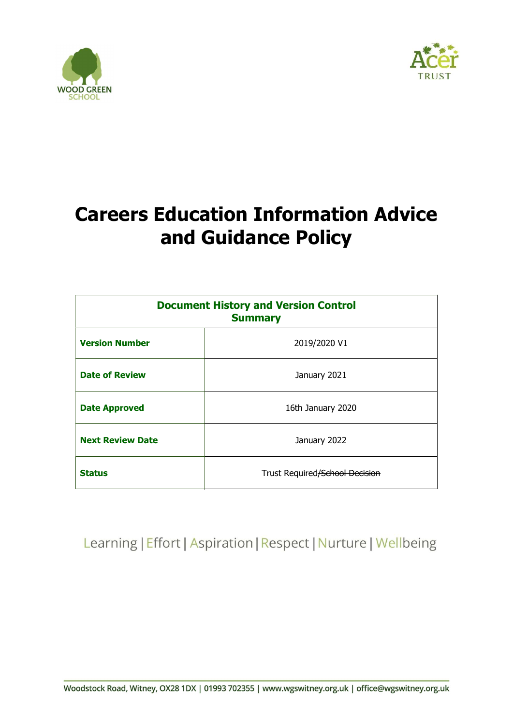



# Careers Education Information Advice and Guidance Policy

| <b>Document History and Version Control</b><br><b>Summary</b> |                                |
|---------------------------------------------------------------|--------------------------------|
| <b>Version Number</b>                                         | 2019/2020 V1                   |
| <b>Date of Review</b>                                         | January 2021                   |
| <b>Date Approved</b>                                          | 16th January 2020              |
| <b>Next Review Date</b>                                       | January 2022                   |
| <b>Status</b>                                                 | Trust Required/School Decision |

Learning | Effort | Aspiration | Respect | Nurture | Wellbeing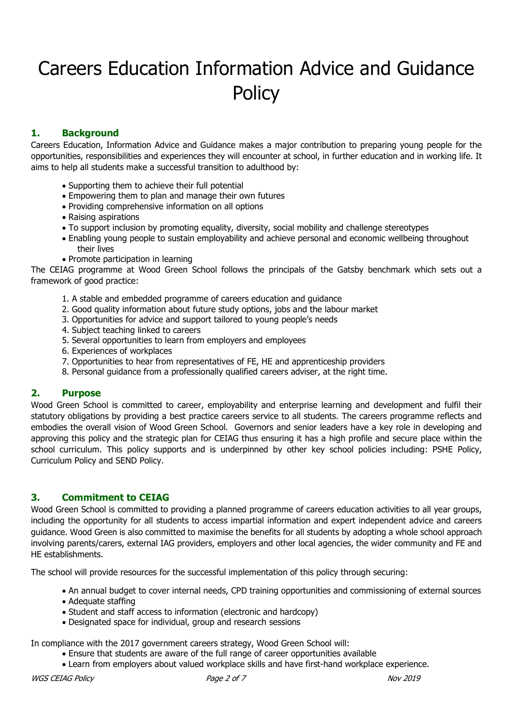# Careers Education Information Advice and Guidance **Policy**

# 1. Background

Careers Education, Information Advice and Guidance makes a major contribution to preparing young people for the opportunities, responsibilities and experiences they will encounter at school, in further education and in working life. It aims to help all students make a successful transition to adulthood by:

- Supporting them to achieve their full potential
- Empowering them to plan and manage their own futures
- Providing comprehensive information on all options
- Raising aspirations
- To support inclusion by promoting equality, diversity, social mobility and challenge stereotypes
- Enabling young people to sustain employability and achieve personal and economic wellbeing throughout their lives
- Promote participation in learning

The CEIAG programme at Wood Green School follows the principals of the Gatsby benchmark which sets out a framework of good practice:

- 1. A stable and embedded programme of careers education and guidance
- 2. Good quality information about future study options, jobs and the labour market
- 3. Opportunities for advice and support tailored to young people's needs
- 4. Subject teaching linked to careers
- 5. Several opportunities to learn from employers and employees
- 6. Experiences of workplaces
- 7. Opportunities to hear from representatives of FE, HE and apprenticeship providers
- 8. Personal guidance from a professionally qualified careers adviser, at the right time.

# 2. Purpose

Wood Green School is committed to career, employability and enterprise learning and development and fulfil their statutory obligations by providing a best practice careers service to all students. The careers programme reflects and embodies the overall vision of Wood Green School. Governors and senior leaders have a key role in developing and approving this policy and the strategic plan for CEIAG thus ensuring it has a high profile and secure place within the school curriculum. This policy supports and is underpinned by other key school policies including: PSHE Policy, Curriculum Policy and SEND Policy.

# 3. Commitment to CEIAG

Wood Green School is committed to providing a planned programme of careers education activities to all year groups, including the opportunity for all students to access impartial information and expert independent advice and careers guidance. Wood Green is also committed to maximise the benefits for all students by adopting a whole school approach involving parents/carers, external IAG providers, employers and other local agencies, the wider community and FE and HE establishments.

The school will provide resources for the successful implementation of this policy through securing:

- An annual budget to cover internal needs, CPD training opportunities and commissioning of external sources
- Adequate staffing
- Student and staff access to information (electronic and hardcopy)
- Designated space for individual, group and research sessions

In compliance with the 2017 government careers strategy, Wood Green School will:

- Ensure that students are aware of the full range of career opportunities available
- Learn from employers about valued workplace skills and have first-hand workplace experience.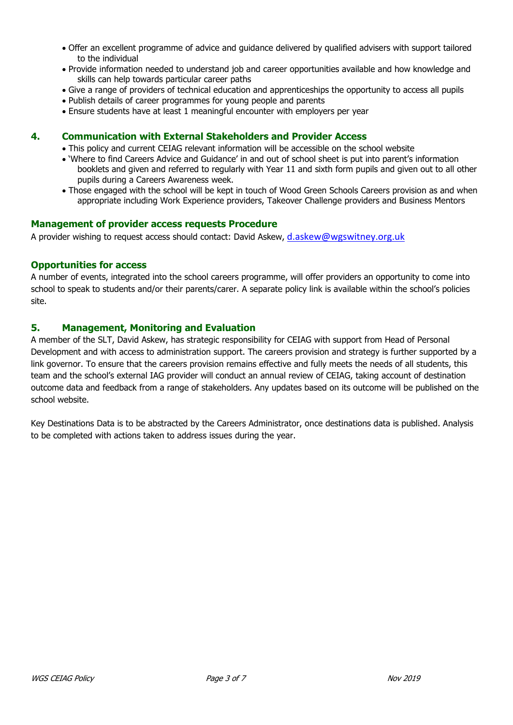- Offer an excellent programme of advice and guidance delivered by qualified advisers with support tailored to the individual
- Provide information needed to understand job and career opportunities available and how knowledge and skills can help towards particular career paths
- Give a range of providers of technical education and apprenticeships the opportunity to access all pupils
- Publish details of career programmes for young people and parents
- Ensure students have at least 1 meaningful encounter with employers per year

#### 4. Communication with External Stakeholders and Provider Access

This policy and current CEIAG relevant information will be accessible on the school website

- 'Where to find Careers Advice and Guidance' in and out of school sheet is put into parent's information booklets and given and referred to regularly with Year 11 and sixth form pupils and given out to all other pupils during a Careers Awareness week.
- Those engaged with the school will be kept in touch of Wood Green Schools Careers provision as and when appropriate including Work Experience providers, Takeover Challenge providers and Business Mentors

#### Management of provider access requests Procedure

A provider wishing to request access should contact: David Askew, d.askew@wgswitney.org.uk

#### Opportunities for access

A number of events, integrated into the school careers programme, will offer providers an opportunity to come into school to speak to students and/or their parents/carer. A separate policy link is available within the school's policies site.

#### 5. Management, Monitoring and Evaluation

A member of the SLT, David Askew, has strategic responsibility for CEIAG with support from Head of Personal Development and with access to administration support. The careers provision and strategy is further supported by a link governor. To ensure that the careers provision remains effective and fully meets the needs of all students, this team and the school's external IAG provider will conduct an annual review of CEIAG, taking account of destination outcome data and feedback from a range of stakeholders. Any updates based on its outcome will be published on the school website.

Key Destinations Data is to be abstracted by the Careers Administrator, once destinations data is published. Analysis to be completed with actions taken to address issues during the year.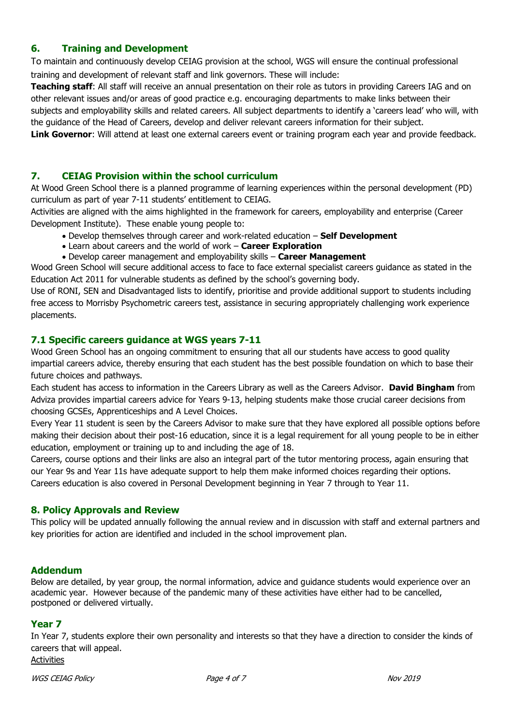# 6. Training and Development

To maintain and continuously develop CEIAG provision at the school, WGS will ensure the continual professional training and development of relevant staff and link governors. These will include:

Teaching staff: All staff will receive an annual presentation on their role as tutors in providing Careers IAG and on other relevant issues and/or areas of good practice e.g. encouraging departments to make links between their subjects and employability skills and related careers. All subject departments to identify a 'careers lead' who will, with the guidance of the Head of Careers, develop and deliver relevant careers information for their subject.

Link Governor: Will attend at least one external careers event or training program each year and provide feedback.

## 7. CEIAG Provision within the school curriculum

At Wood Green School there is a planned programme of learning experiences within the personal development (PD) curriculum as part of year 7-11 students' entitlement to CEIAG.

Activities are aligned with the aims highlighted in the framework for careers, employability and enterprise (Career Development Institute). These enable young people to:

- Develop themselves through career and work-related education Self Development
- Learn about careers and the world of work Career Exploration
- Develop career management and employability skills Career Management

Wood Green School will secure additional access to face to face external specialist careers guidance as stated in the Education Act 2011 for vulnerable students as defined by the school's governing body.

Use of RONI, SEN and Disadvantaged lists to identify, prioritise and provide additional support to students including free access to Morrisby Psychometric careers test, assistance in securing appropriately challenging work experience placements.

#### 7.1 Specific careers guidance at WGS years 7-11

Wood Green School has an ongoing commitment to ensuring that all our students have access to good quality impartial careers advice, thereby ensuring that each student has the best possible foundation on which to base their future choices and pathways.

Each student has access to information in the Careers Library as well as the Careers Advisor. David Bingham from Adviza provides impartial careers advice for Years 9-13, helping students make those crucial career decisions from choosing GCSEs, Apprenticeships and A Level Choices.

Every Year 11 student is seen by the Careers Advisor to make sure that they have explored all possible options before making their decision about their post-16 education, since it is a legal requirement for all young people to be in either education, employment or training up to and including the age of 18.

Careers, course options and their links are also an integral part of the tutor mentoring process, again ensuring that our Year 9s and Year 11s have adequate support to help them make informed choices regarding their options. Careers education is also covered in Personal Development beginning in Year 7 through to Year 11.

#### 8. Policy Approvals and Review

This policy will be updated annually following the annual review and in discussion with staff and external partners and key priorities for action are identified and included in the school improvement plan.

#### Addendum

Below are detailed, by year group, the normal information, advice and guidance students would experience over an academic year. However because of the pandemic many of these activities have either had to be cancelled, postponed or delivered virtually.

#### Year 7

In Year 7, students explore their own personality and interests so that they have a direction to consider the kinds of careers that will appeal.

Activities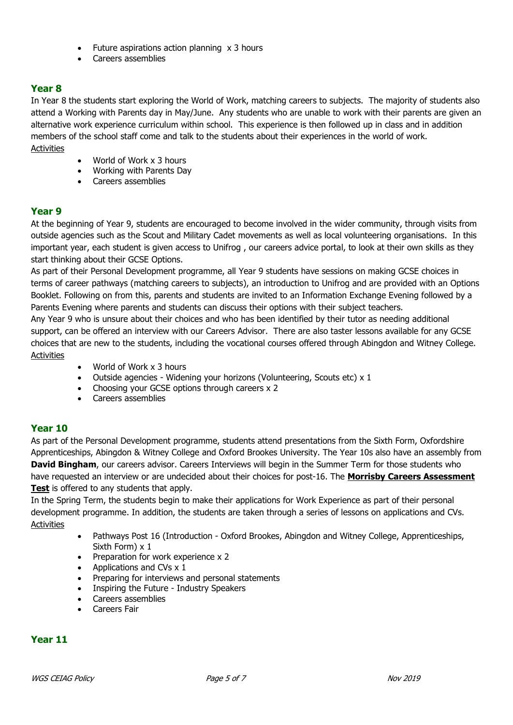- Future aspirations action planning x 3 hours
- Careers assemblies

# Year 8

In Year 8 the students start exploring the World of Work, matching careers to subjects. The majority of students also attend a Working with Parents day in May/June. Any students who are unable to work with their parents are given an alternative work experience curriculum within school. This experience is then followed up in class and in addition members of the school staff come and talk to the students about their experiences in the world of work. Activities

- World of Work x 3 hours
- Working with Parents Day
- Careers assemblies

### Year 9

At the beginning of Year 9, students are encouraged to become involved in the wider community, through visits from outside agencies such as the Scout and Military Cadet movements as well as local volunteering organisations. In this important year, each student is given access to Unifrog , our careers advice portal, to look at their own skills as they start thinking about their GCSE Options.

As part of their Personal Development programme, all Year 9 students have sessions on making GCSE choices in terms of career pathways (matching careers to subjects), an introduction to Unifrog and are provided with an Options Booklet. Following on from this, parents and students are invited to an Information Exchange Evening followed by a Parents Evening where parents and students can discuss their options with their subject teachers.

Any Year 9 who is unsure about their choices and who has been identified by their tutor as needing additional support, can be offered an interview with our Careers Advisor. There are also taster lessons available for any GCSE choices that are new to the students, including the vocational courses offered through Abingdon and Witney College. **Activities** 

- World of Work x 3 hours
- Outside agencies Widening your horizons (Volunteering, Scouts etc) x 1
- Choosing your GCSE options through careers x 2
- Careers assemblies

#### Year 10

As part of the Personal Development programme, students attend presentations from the Sixth Form, Oxfordshire Apprenticeships, Abingdon & Witney College and Oxford Brookes University. The Year 10s also have an assembly from David Bingham, our careers advisor. Careers Interviews will begin in the Summer Term for those students who have requested an interview or are undecided about their choices for post-16. The Morrisby Careers Assessment **Test** is offered to any students that apply.

In the Spring Term, the students begin to make their applications for Work Experience as part of their personal development programme. In addition, the students are taken through a series of lessons on applications and CVs. Activities

- Pathways Post 16 (Introduction Oxford Brookes, Abingdon and Witney College, Apprenticeships, Sixth Form) x 1
- Preparation for work experience x 2
- Applications and CVs  $\times$  1
- Preparing for interviews and personal statements
- Inspiring the Future Industry Speakers
- Careers assemblies
- **•** Careers Fair

### Year 11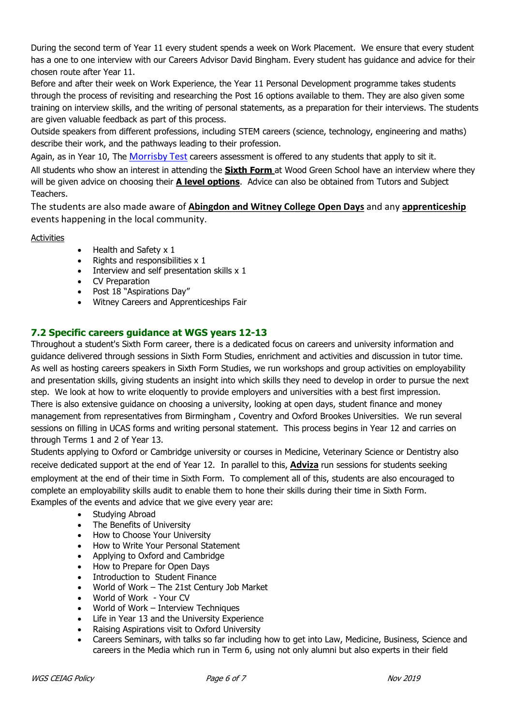During the second term of Year 11 every student spends a week on Work Placement. We ensure that every student has a one to one interview with our Careers Advisor David Bingham. Every student has guidance and advice for their chosen route after Year 11.

Before and after their week on Work Experience, the Year 11 Personal Development programme takes students through the process of revisiting and researching the Post 16 options available to them. They are also given some training on interview skills, and the writing of personal statements, as a preparation for their interviews. The students are given valuable feedback as part of this process.

Outside speakers from different professions, including STEM careers (science, technology, engineering and maths) describe their work, and the pathways leading to their profession.

Again, as in Year 10, The Morrisby Test careers assessment is offered to any students that apply to sit it.

All students who show an interest in attending the **Sixth Form** at Wood Green School have an interview where they will be given advice on choosing their **A level options**. Advice can also be obtained from Tutors and Subject Teachers.

The students are also made aware of Abingdon and Witney College Open Days and any apprenticeship events happening in the local community.

Activities

- $\bullet$  Health and Safety x 1
- $\bullet$  Rights and responsibilities  $\times$  1
- $\bullet$  Interview and self presentation skills  $x$  1
- CV Preparation
- Post 18 "Aspirations Day"
- Witney Careers and Apprenticeships Fair

# 7.2 Specific careers guidance at WGS years 12-13

Throughout a student's Sixth Form career, there is a dedicated focus on careers and university information and guidance delivered through sessions in Sixth Form Studies, enrichment and activities and discussion in tutor time. As well as hosting careers speakers in Sixth Form Studies, we run workshops and group activities on employability and presentation skills, giving students an insight into which skills they need to develop in order to pursue the next step. We look at how to write eloquently to provide employers and universities with a best first impression. There is also extensive guidance on choosing a university, looking at open days, student finance and money management from representatives from Birmingham , Coventry and Oxford Brookes Universities. We run several sessions on filling in UCAS forms and writing personal statement. This process begins in Year 12 and carries on through Terms 1 and 2 of Year 13.

Students applying to Oxford or Cambridge university or courses in Medicine, Veterinary Science or Dentistry also receive dedicated support at the end of Year 12. In parallel to this, Adviza run sessions for students seeking employment at the end of their time in Sixth Form. To complement all of this, students are also encouraged to complete an employability skills audit to enable them to hone their skills during their time in Sixth Form. Examples of the events and advice that we give every year are:

- Studying Abroad
- The Benefits of University
- How to Choose Your University
- How to Write Your Personal Statement
- Applying to Oxford and Cambridge
- How to Prepare for Open Days
- Introduction to Student Finance
- World of Work The 21st Century Job Market
- World of Work Your CV
- World of Work Interview Techniques
- Life in Year 13 and the University Experience
- Raising Aspirations visit to Oxford University
- Careers Seminars, with talks so far including how to get into Law, Medicine, Business, Science and careers in the Media which run in Term 6, using not only alumni but also experts in their field